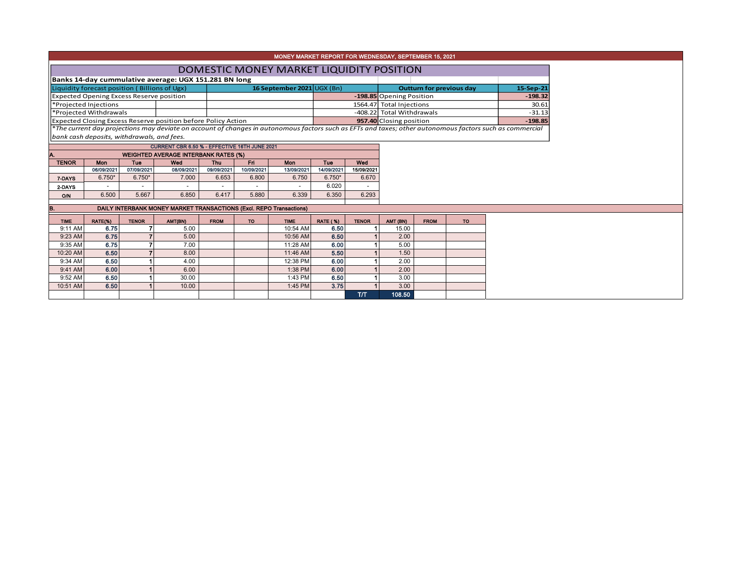| MONEY MARKET REPORT FOR WEDNESDAY, SEPTEMBER 15, 2021 |                                                                            |                          |                                                               |             |             |                            |                         |              |                                 |                          |  |                                                                                                                                                          |  |  |  |
|-------------------------------------------------------|----------------------------------------------------------------------------|--------------------------|---------------------------------------------------------------|-------------|-------------|----------------------------|-------------------------|--------------|---------------------------------|--------------------------|--|----------------------------------------------------------------------------------------------------------------------------------------------------------|--|--|--|
|                                                       |                                                                            |                          |                                                               |             |             |                            |                         |              |                                 |                          |  |                                                                                                                                                          |  |  |  |
|                                                       | DOMESTIC MONEY MARKET LIQUIDITY POSITION                                   |                          |                                                               |             |             |                            |                         |              |                                 |                          |  |                                                                                                                                                          |  |  |  |
|                                                       |                                                                            |                          | Banks 14-day cummulative average: UGX 151.281 BN long         |             |             |                            |                         |              |                                 |                          |  |                                                                                                                                                          |  |  |  |
|                                                       | Liquidity forecast position (Billions of Ugx)                              |                          |                                                               |             |             | 16 September 2021 UGX (Bn) |                         |              | <b>Outturn for previous day</b> |                          |  | 15-Sep-21                                                                                                                                                |  |  |  |
| Expected Opening Excess Reserve position              |                                                                            |                          |                                                               |             |             |                            |                         |              | -198.85 Opening Position        |                          |  | $-198.32$                                                                                                                                                |  |  |  |
| *Projected Injections                                 |                                                                            |                          |                                                               |             |             |                            |                         |              |                                 | 1564.47 Total Injections |  |                                                                                                                                                          |  |  |  |
|                                                       | *Proiected Withdrawals                                                     |                          |                                                               |             |             |                            |                         |              | -408.22 Total Withdrawals       |                          |  | $-31.13$                                                                                                                                                 |  |  |  |
|                                                       |                                                                            |                          | Expected Closing Excess Reserve position before Policy Action |             |             |                            |                         |              | 957.40 Closing position         |                          |  | $-198.85$                                                                                                                                                |  |  |  |
|                                                       |                                                                            |                          |                                                               |             |             |                            |                         |              |                                 |                          |  | *The current day projections may deviate on account of changes in autonomous factors such as EFTs and taxes; other autonomous factors such as commercial |  |  |  |
|                                                       | bank cash deposits, withdrawals, and fees.                                 |                          |                                                               |             |             |                            |                         |              |                                 |                          |  |                                                                                                                                                          |  |  |  |
|                                                       |                                                                            |                          | CURRENT CBR 6.50 % - EFFECTIVE 16TH JUNE 2021                 |             |             |                            |                         |              |                                 |                          |  |                                                                                                                                                          |  |  |  |
| А.                                                    |                                                                            |                          | <b>WEIGHTED AVERAGE INTERBANK RATES (%)</b>                   |             |             |                            |                         |              |                                 |                          |  |                                                                                                                                                          |  |  |  |
| <b>TENOR</b>                                          | Mon                                                                        | <b>Tue</b>               | Wed                                                           | <b>Thu</b>  | Fri.        | Mon                        | <b>Tue</b>              | Wed          |                                 |                          |  |                                                                                                                                                          |  |  |  |
|                                                       | 06/09/2021                                                                 | 07/09/2021               | 08/09/2021                                                    | 09/09/2021  | 10/09/2021  | 13/09/2021                 | 14/09/2021              | 15/09/2021   |                                 |                          |  |                                                                                                                                                          |  |  |  |
| 7-DAYS                                                | $6.750*$                                                                   | $6.750*$                 | 7.000                                                         | 6.653       | 6.800       | 6.750                      | $6.750*$                | 6.670        |                                 |                          |  |                                                                                                                                                          |  |  |  |
| 2-DAYS                                                |                                                                            | $\overline{\phantom{a}}$ |                                                               |             |             |                            | 6.020                   |              |                                 |                          |  |                                                                                                                                                          |  |  |  |
| O/N                                                   | 6.500                                                                      | 5.667                    | 6.850                                                         | 6.417       | 5.880       | 6.339                      | 6.350                   | 6.293        |                                 |                          |  |                                                                                                                                                          |  |  |  |
| В.                                                    | <b>DAILY INTERBANK MONEY MARKET TRANSACTIONS (Excl. REPO Transactions)</b> |                          |                                                               |             |             |                            |                         |              |                                 |                          |  |                                                                                                                                                          |  |  |  |
| <b>TIME</b>                                           | RATE(%)                                                                    | <b>TENOR</b>             | AMT(BN)                                                       | AMT (BN)    | <b>FROM</b> | <b>TO</b>                  |                         |              |                                 |                          |  |                                                                                                                                                          |  |  |  |
| 9:11 AM                                               | 6.75                                                                       |                          | 5.00                                                          | <b>FROM</b> | <b>TO</b>   | <b>TIME</b><br>10:54 AM    | <b>RATE (%)</b><br>6.50 | <b>TENOR</b> | 15.00                           |                          |  |                                                                                                                                                          |  |  |  |
| 9:23 AM                                               | 6.75                                                                       |                          | 5.00                                                          |             |             | 10:56 AM                   | 6.50                    |              | 2.00                            |                          |  |                                                                                                                                                          |  |  |  |
| 9:35 AM                                               | 6.75                                                                       |                          | 7.00                                                          |             |             | 11:28 AM                   | 6.00                    |              | 5.00                            |                          |  |                                                                                                                                                          |  |  |  |
| 10:20 AM                                              | 6.50                                                                       |                          | 8.00                                                          |             |             | 11:46 AM                   | 5.50                    |              | 1.50                            |                          |  |                                                                                                                                                          |  |  |  |
| 9:34 AM                                               | 6.50                                                                       |                          | 4.00                                                          |             |             | 12:38 PM                   | 6.00                    |              | 2.00                            |                          |  |                                                                                                                                                          |  |  |  |
| 9:41 AM                                               | 6.00                                                                       |                          | 6.00                                                          |             |             | 1:38 PM                    | 6.00                    |              | 2.00                            |                          |  |                                                                                                                                                          |  |  |  |
| 9:52 AM                                               | 6.50                                                                       |                          | 30.00                                                         |             |             | 1:43 PM                    | 6.50                    |              | 3.00                            |                          |  |                                                                                                                                                          |  |  |  |
| 10:51 AM                                              | 6.50                                                                       |                          | 10.00                                                         |             |             | 1:45 PM                    | 3.75                    |              | 3.00                            |                          |  |                                                                                                                                                          |  |  |  |
|                                                       |                                                                            |                          |                                                               |             |             |                            |                         | T/T          | 108.50                          |                          |  |                                                                                                                                                          |  |  |  |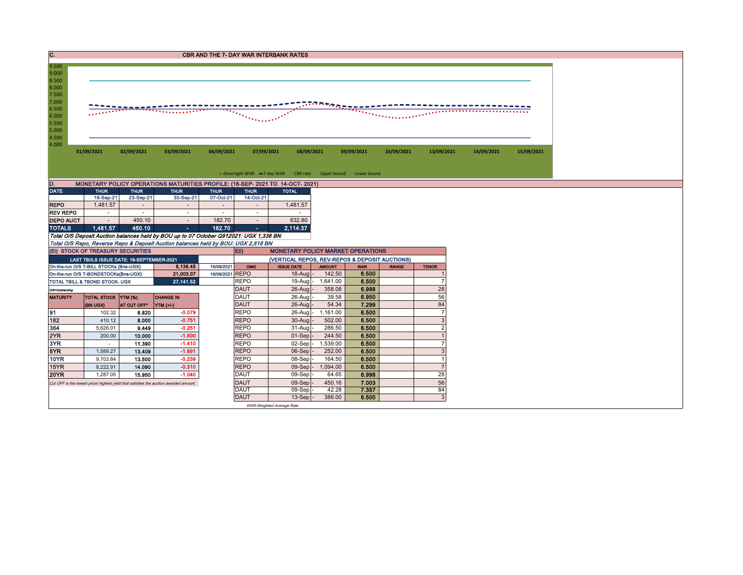| IC.                                                                                             |                                   |                  |                                                                                       | <b>CBR AND THE 7- DAY WAR INTERBANK RATES</b>                                                                    |                                                |                            |                |              |                |            |            |
|-------------------------------------------------------------------------------------------------|-----------------------------------|------------------|---------------------------------------------------------------------------------------|------------------------------------------------------------------------------------------------------------------|------------------------------------------------|----------------------------|----------------|--------------|----------------|------------|------------|
| 9.500                                                                                           |                                   |                  |                                                                                       |                                                                                                                  |                                                |                            |                |              |                |            |            |
| 9.000                                                                                           |                                   |                  |                                                                                       |                                                                                                                  |                                                |                            |                |              |                |            |            |
| 8.500<br>8.000                                                                                  |                                   |                  |                                                                                       |                                                                                                                  |                                                |                            |                |              |                |            |            |
| 7.500                                                                                           |                                   |                  |                                                                                       |                                                                                                                  |                                                |                            |                |              |                |            |            |
| 7.000                                                                                           |                                   |                  |                                                                                       |                                                                                                                  |                                                |                            |                |              |                |            |            |
| 6.500                                                                                           |                                   |                  |                                                                                       |                                                                                                                  |                                                | <u>ההרטטוניה ביוניה בי</u> |                |              |                |            |            |
| 6.000                                                                                           |                                   |                  |                                                                                       | $\mathcal{L}_{\mathcal{L}_{\mathcal{L}_{\mathcal{L}_{\mathcal{L}_{\mathcal{L}}}}\cup\mathcal{L}_{\mathcal{L}}}}$ |                                                |                            |                |              |                |            |            |
| 5.500<br>5.000                                                                                  |                                   |                  |                                                                                       |                                                                                                                  |                                                |                            |                |              |                |            |            |
| 4.500                                                                                           |                                   |                  |                                                                                       |                                                                                                                  |                                                |                            |                |              |                |            |            |
| 4.000                                                                                           |                                   |                  |                                                                                       |                                                                                                                  |                                                |                            |                |              |                |            |            |
|                                                                                                 | 01/09/2021                        | 02/09/2021       | 03/09/2021                                                                            | 06/09/2021<br>07/09/2021                                                                                         | 08/09/2021                                     |                            | 09/09/2021     | 10/09/2021   | 13/09/2021     | 14/09/2021 | 15/09/2021 |
|                                                                                                 |                                   |                  |                                                                                       |                                                                                                                  |                                                |                            |                |              |                |            |            |
|                                                                                                 |                                   |                  |                                                                                       | • Overnight WAR -7-day WAR - CBR rate - Upper bound - Lower bound                                                |                                                |                            |                |              |                |            |            |
|                                                                                                 |                                   |                  |                                                                                       |                                                                                                                  |                                                |                            |                |              |                |            |            |
| D.<br><b>DATE</b>                                                                               | <b>THUR</b>                       | <b>THUR</b>      | <b>THUR</b>                                                                           | MONETARY POLICY OPERATIONS MATURITIES PROFILE: (16-SEP- 2021 TO 14-OCT- 2021)<br><b>THUR</b><br><b>THUR</b>      | <b>TOTAL</b>                                   |                            |                |              |                |            |            |
|                                                                                                 | 16-Sep-21                         | 23-Sep-21        | 30-Sep-21                                                                             | 07-Oct-21<br>14-Oct-21                                                                                           |                                                |                            |                |              |                |            |            |
| <b>REPO</b>                                                                                     | 1.481.57                          |                  |                                                                                       | $\sim$<br>$\sim$                                                                                                 | 1,481.57                                       |                            |                |              |                |            |            |
| <b>REV REPO</b>                                                                                 | ÷                                 | $\sim$           | $\sim$                                                                                | $\sim$<br>$\sim$                                                                                                 |                                                |                            |                |              |                |            |            |
| <b>DEPO AUCT</b>                                                                                | $\overline{\phantom{a}}$          | 450.10           | $\sim$                                                                                | 182.70<br>$\overline{\phantom{a}}$                                                                               | 632.80                                         |                            |                |              |                |            |            |
| <b>TOTALS</b>                                                                                   | 1.481.57                          | 450.10           | $\Delta \sim 10$                                                                      | 182.70<br>a.                                                                                                     | 2,114.37                                       |                            |                |              |                |            |            |
|                                                                                                 |                                   |                  |                                                                                       | Total O/S Deposit Auction balances held by BOU up to 07 October Q912021: UGX 1,336 BN                            |                                                |                            |                |              |                |            |            |
|                                                                                                 | (EI) STOCK OF TREASURY SECURITIES |                  |                                                                                       | Total O/S Repo, Reverse Repo & Deposit Auction balances held by BOU: UGX 2,818 BN<br>Eii)                        | <b>MONETARY POLICY MARKET OPERATIONS</b>       |                            |                |              |                |            |            |
|                                                                                                 |                                   |                  |                                                                                       |                                                                                                                  | (VERTICAL REPOS, REV-REPOS & DEPOSIT AUCTIONS) |                            |                |              |                |            |            |
| LAST TBIILS ISSUE DATE: 16-SEPTEMBER-2021<br>6,138.45<br>On-the-run O/S T-BILL STOCKs (Bns-UGX) |                                   |                  |                                                                                       | 16/09/2021<br>OMO                                                                                                | <b>ISSUE DATE</b>                              | <b>AMOUNT</b>              | <b>WAR</b>     | <b>RANGE</b> | <b>TENOR</b>   |            |            |
| 21,003.07<br>On-the-run O/S T-BONDSTOCKs(Bns-UGX)                                               |                                   |                  | 16/09/2021 REPO                                                                       | $18$ -Aug -                                                                                                      | 142.50                                         | 6.500                      |                |              |                |            |            |
|                                                                                                 | TOTAL TBILL & TBOND STOCK- UGX    |                  | 27, 141.52                                                                            | <b>REPO</b>                                                                                                      |                                                | 19-Aug - 1,641.00          | 6.500          |              |                |            |            |
| O/S=Outstanding                                                                                 |                                   |                  |                                                                                       | <b>DAUT</b>                                                                                                      | $26$ -Aug -                                    | 358.08                     | 6.998          |              | 28             |            |            |
| <b>MATURITY</b>                                                                                 | <b>TOTAL STOCK YTM (%)</b>        |                  | <b>CHANGE IN</b>                                                                      | <b>DAUT</b>                                                                                                      | $26$ -Aug                                      | 39.58                      | 6.950          |              | 56             |            |            |
|                                                                                                 | (BN UGX)                          | AT CUT OFF*      | $NTM (+/4)$                                                                           | <b>DAUT</b>                                                                                                      | $26$ -Aug                                      | 54.34                      | 7.299          |              | 84             |            |            |
| 91                                                                                              | 102.32                            | 6.820            | $-0.079$                                                                              | <b>REPO</b>                                                                                                      |                                                | 26-Aug - 1,161.00          | 6.500          |              | $\overline{7}$ |            |            |
| 182                                                                                             | 410.12                            | 8.000            | $-0.751$                                                                              | <b>REPO</b>                                                                                                      | $30$ -Aug                                      | 502.00                     | 6.500          |              | 3              |            |            |
| 364                                                                                             | 5,626.01                          | 9.449            | $-0.251$                                                                              | <b>REPO</b>                                                                                                      | $31-Auq$                                       | 286.50                     | 6.500          |              | $\overline{2}$ |            |            |
| 2YR                                                                                             | 200.00                            | 10.000           | $-1.500$<br>$-1.410$                                                                  | <b>REPO</b>                                                                                                      | $01-Sep$                                       | 244.50                     | 6.500<br>6.500 |              | $\overline{7}$ |            |            |
| 3YR<br>5YR                                                                                      | $\sim$<br>1,589.27                | 11.390<br>13.409 | $-1.691$                                                                              | <b>REPO</b><br><b>REPO</b>                                                                                       | $02-Sep$ -<br>$06-Sep$                         | 1,539.00<br>252.00         | 6.500          |              | 3              |            |            |
| <b>10YR</b>                                                                                     | 9,703.84                          | 13.500           | $-0.239$                                                                              | <b>REPO</b>                                                                                                      | $08-Sep$                                       | 164.50                     | 6.500          |              |                |            |            |
| 15YR                                                                                            | 8.222.91                          | 14.090           | $-0.310$                                                                              | <b>REPO</b>                                                                                                      | $09-Sep$ -                                     | 1,094.00                   | 6.500          |              | $\overline{7}$ |            |            |
| <b>20YR</b>                                                                                     | 1,287.05                          | 15.950           | $-1.040$                                                                              | <b>DAUT</b>                                                                                                      | $09-Sep$                                       | 64.65                      | 6.998          |              | 28             |            |            |
|                                                                                                 |                                   |                  | Cut OFF is the lowest price/ highest yield that satisfies the auction awarded amount. | <b>DAUT</b>                                                                                                      | $09-Sep$                                       | 450.16                     | 7.003          |              | 56             |            |            |
|                                                                                                 |                                   |                  |                                                                                       | DAUT                                                                                                             | $09-Sep$                                       | 42.28                      | 7.357          |              | 84             |            |            |
|                                                                                                 |                                   |                  |                                                                                       | <b>DAUT</b>                                                                                                      | $13-Sep$ -                                     | 386.00                     | 6.500          |              | $\overline{3}$ |            |            |
|                                                                                                 |                                   |                  |                                                                                       |                                                                                                                  | WAR-Weighted Average Rate                      |                            |                |              |                |            |            |